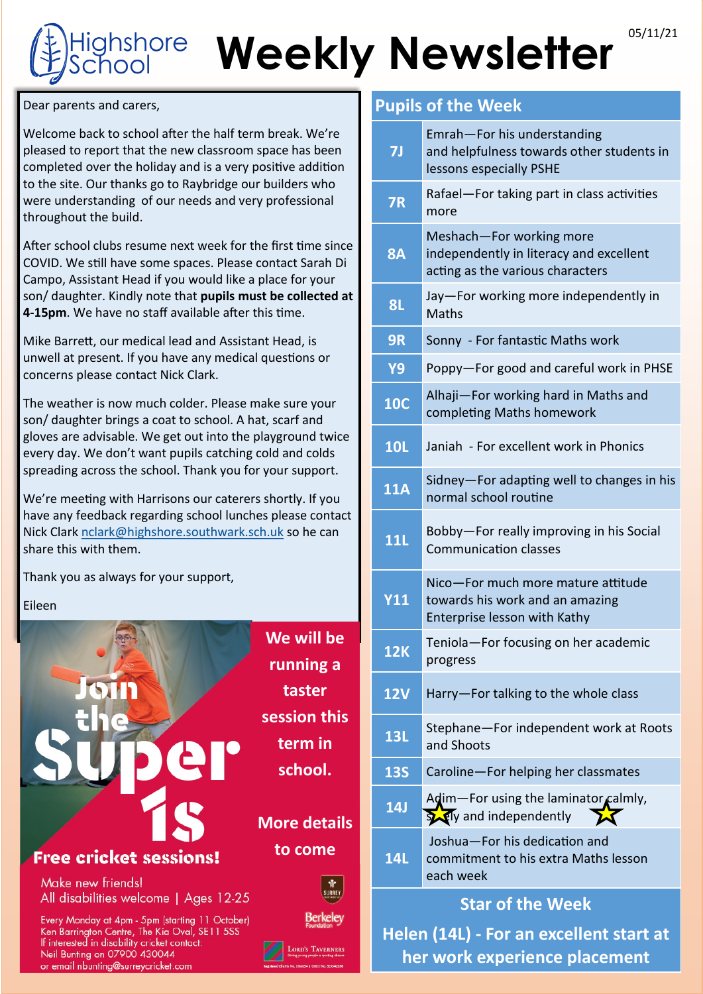# Weekly Newsletter<sup>®5/11/21</sup> **shore**

Dear parents and carers,

Welcome back to school after the half term break. We're pleased to report that the new classroom space has been completed over the holiday and is a very positive addition to the site. Our thanks go to Raybridge our builders who were understanding of our needs and very professional throughout the build.

After school clubs resume next week for the first time since COVID. We still have some spaces. Please contact Sarah Di Campo, Assistant Head if you would like a place for your son/ daughter. Kindly note that **pupils must be collected at 4-15pm**. We have no staff available after this time.

Mike Barrett, our medical lead and Assistant Head, is unwell at present. If you have any medical questions or concerns please contact Nick Clark.

The weather is now much colder. Please make sure your son/ daughter brings a coat to school. A hat, scarf and gloves are advisable. We get out into the playground twice every day. We don't want pupils catching cold and colds spreading across the school. Thank you for your support.

We're meeting with Harrisons our caterers shortly. If you have any feedback regarding school lunches please contact Nick Clark [nclark@highshore.southwark.sch.uk](mailto:nclark@highshore.Southwark.sch.uk) so he can share this with them.

Thank you as always for your support,

Eileen



## **Pupils of the Week**

| <b>7J</b>                               | Emrah-For his understanding<br>and helpfulness towards other students in<br>lessons especially PSHE     |
|-----------------------------------------|---------------------------------------------------------------------------------------------------------|
| <b>7R</b>                               | Rafael-For taking part in class activities<br>more                                                      |
| <b>8A</b>                               | Meshach-For working more<br>independently in literacy and excellent<br>acting as the various characters |
| <b>8L</b>                               | Jay-For working more independently in<br><b>Maths</b>                                                   |
| <b>9R</b>                               | Sonny - For fantastic Maths work                                                                        |
| <b>Y9</b>                               | Poppy-For good and careful work in PHSE                                                                 |
| <b>10C</b>                              | Alhaji-For working hard in Maths and<br>completing Maths homework                                       |
| <b>10L</b>                              | Janiah - For excellent work in Phonics                                                                  |
| <b>11A</b>                              | Sidney-For adapting well to changes in his<br>normal school routine                                     |
| <b>11L</b>                              | Bobby-For really improving in his Social<br><b>Communication classes</b>                                |
| <b>Y11</b>                              | Nico-For much more mature attitude<br>towards his work and an amazing<br>Enterprise lesson with Kathy   |
| <b>12K</b>                              | Teniola-For focusing on her academic<br>progress                                                        |
| <b>12V</b>                              | Harry-For talking to the whole class                                                                    |
| <b>13L</b>                              | Stephane-For independent work at Roots<br>and Shoots                                                    |
| <b>13S</b>                              | Caroline-For helping her classmates                                                                     |
| 14J                                     | Adim-For using the laminator calmly,<br>Soly and independently<br>X                                     |
| <b>14L</b>                              | Joshua-For his dedication and<br>commitment to his extra Maths lesson<br>each week                      |
| <b>Star of the Week</b>                 |                                                                                                         |
| Helen (14L) - For an excellent start at |                                                                                                         |

**her work experience placement**